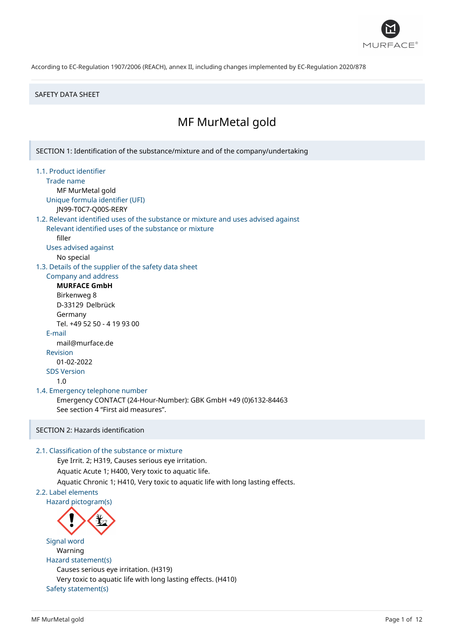

### SAFETY DATA SHEET

# MF MurMetal gold

SECTION 1: Identification of the substance/mixture and of the company/undertaking

- 1.1. Product identifier
	- Trade name

MF MurMetal gold

Unique formula identifier (UFI)

JN99-T0C7-Q00S-RERY

# 1.2. Relevant identified uses of the substance or mixture and uses advised against

Relevant identified uses of the substance or mixture filler

Uses advised against

No special

1.3. Details of the supplier of the safety data sheet

# Company and address

**MURFACE GmbH** Birkenweg 8 D-33129 Delbrück Germany Tel. +49 52 50 - 4 19 93 00 E-mail mail@murface.de Revision 01-02-2022 SDS Version 1.0

### 1.4. Emergency telephone number

Emergency CONTACT (24-Hour-Number): GBK GmbH +49 (0)6132-84463 See section 4 "First aid measures".

### SECTION 2: Hazards identification

### 2.1. Classification of the substance or mixture

Eye Irrit. 2; H319, Causes serious eye irritation. Aquatic Acute 1; H400, Very toxic to aquatic life. Aquatic Chronic 1; H410, Very toxic to aquatic life with long lasting effects.

# 2.2. Label elements

Hazard pictogram(s)



Signal word Warning Hazard statement(s) Causes serious eye irritation. (H319) Very toxic to aquatic life with long lasting effects. (H410) Safety statement(s)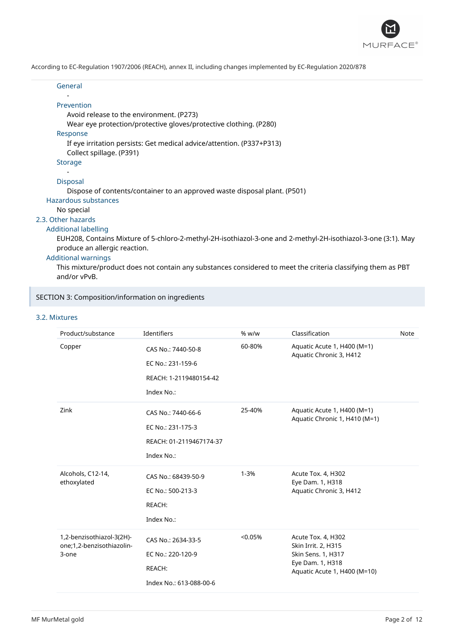

| General                                                                                                                                                                                                                                                                                                                                                                                                                                                      |
|--------------------------------------------------------------------------------------------------------------------------------------------------------------------------------------------------------------------------------------------------------------------------------------------------------------------------------------------------------------------------------------------------------------------------------------------------------------|
| Prevention                                                                                                                                                                                                                                                                                                                                                                                                                                                   |
| Avoid release to the environment. (P273)                                                                                                                                                                                                                                                                                                                                                                                                                     |
| Wear eye protection/protective gloves/protective clothing. (P280)                                                                                                                                                                                                                                                                                                                                                                                            |
| Response                                                                                                                                                                                                                                                                                                                                                                                                                                                     |
| If eye irritation persists: Get medical advice/attention. (P337+P313)                                                                                                                                                                                                                                                                                                                                                                                        |
| Collect spillage. (P391)                                                                                                                                                                                                                                                                                                                                                                                                                                     |
| <b>Storage</b>                                                                                                                                                                                                                                                                                                                                                                                                                                               |
|                                                                                                                                                                                                                                                                                                                                                                                                                                                              |
| <b>Disposal</b>                                                                                                                                                                                                                                                                                                                                                                                                                                              |
| Dispose of contents/container to an approved waste disposal plant. (P501)                                                                                                                                                                                                                                                                                                                                                                                    |
| Hazardous substances                                                                                                                                                                                                                                                                                                                                                                                                                                         |
| No special                                                                                                                                                                                                                                                                                                                                                                                                                                                   |
| 2.3. Other hazards                                                                                                                                                                                                                                                                                                                                                                                                                                           |
| <b>Additional labelling</b>                                                                                                                                                                                                                                                                                                                                                                                                                                  |
| EUH208, Contains Mixture of 5-chloro-2-methyl-2H-isothiazol-3-one and 2-methyl-2H-isothiazol-3-one (3:1). May                                                                                                                                                                                                                                                                                                                                                |
| produce an allergic reaction.                                                                                                                                                                                                                                                                                                                                                                                                                                |
| <b>Additional warnings</b>                                                                                                                                                                                                                                                                                                                                                                                                                                   |
| $\mathcal{L} = \mathcal{L} = \mathcal{L} = \mathcal{L} = \mathcal{L} = \mathcal{L} = \mathcal{L} = \mathcal{L} = \mathcal{L} = \mathcal{L} = \mathcal{L} = \mathcal{L} = \mathcal{L} = \mathcal{L} = \mathcal{L} = \mathcal{L} = \mathcal{L} = \mathcal{L} = \mathcal{L} = \mathcal{L} = \mathcal{L} = \mathcal{L} = \mathcal{L} = \mathcal{L} = \mathcal{L} = \mathcal{L} = \mathcal{L} = \mathcal{L} = \mathcal{L} = \mathcal{L} = \mathcal{L} = \mathcal$ |

This mixture/product does not contain any substances considered to meet the criteria classifying them as PBT and/or vPvB.

### SECTION 3: Composition/information on ingredients

### 3.2. Mixtures

| Product/substance                                               | Identifiers                                                                      | % w/w    | Classification                                                                                                      | Note |
|-----------------------------------------------------------------|----------------------------------------------------------------------------------|----------|---------------------------------------------------------------------------------------------------------------------|------|
| Copper                                                          | CAS No.: 7440-50-8<br>EC No.: 231-159-6<br>REACH: 1-2119480154-42<br>Index No.:  | 60-80%   | Aquatic Acute 1, H400 (M=1)<br>Aquatic Chronic 3, H412                                                              |      |
| Zink                                                            | CAS No.: 7440-66-6<br>EC No.: 231-175-3<br>REACH: 01-2119467174-37<br>Index No.: | 25-40%   | Aquatic Acute 1, H400 (M=1)<br>Aquatic Chronic 1, H410 (M=1)                                                        |      |
| Alcohols, C12-14,<br>ethoxylated                                | CAS No.: 68439-50-9<br>EC No.: 500-213-3<br>REACH:<br>Index No.:                 | $1 - 3%$ | Acute Tox. 4, H302<br>Eye Dam. 1, H318<br>Aquatic Chronic 3, H412                                                   |      |
| 1,2-benzisothiazol-3(2H)-<br>one;1,2-benzisothiazolin-<br>3-one | CAS No.: 2634-33-5<br>EC No.: 220-120-9<br>REACH:<br>Index No.: 613-088-00-6     | < 0.05%  | Acute Tox. 4, H302<br>Skin Irrit. 2, H315<br>Skin Sens. 1, H317<br>Eye Dam. 1, H318<br>Aquatic Acute 1, H400 (M=10) |      |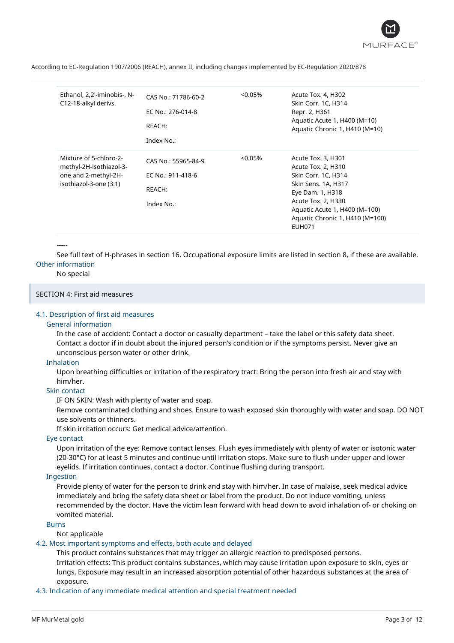

| Ethanol, 2,2'-iminobis-, N-<br>C12-18-alkyl derivs.                                                 | CAS No.: 71786-60-2<br>EC No.: 276-014-8<br>REACH:<br>Index No.: | $< 0.05\%$ | Acute Tox. 4, H302<br>Skin Corr. 1C, H314<br>Repr. 2, H361<br>Aquatic Acute 1, H400 (M=10)<br>Aquatic Chronic 1, H410 (M=10)                                                                                          |
|-----------------------------------------------------------------------------------------------------|------------------------------------------------------------------|------------|-----------------------------------------------------------------------------------------------------------------------------------------------------------------------------------------------------------------------|
| Mixture of 5-chloro-2-<br>methyl-2H-isothiazol-3-<br>one and 2-methyl-2H-<br>isothiazol-3-one (3:1) | CAS No.: 55965-84-9<br>EC No.: 911-418-6<br>REACH:<br>Index No.: | $< 0.05\%$ | Acute Tox. 3, H301<br>Acute Tox. 2, H310<br>Skin Corr. 1C, H314<br>Skin Sens. 1A, H317<br>Eye Dam. 1, H318<br>Acute Tox. 2, H330<br>Aquatic Acute 1, H400 (M=100)<br>Aquatic Chronic 1, H410 (M=100)<br><b>EUH071</b> |

#### -----

See full text of H-phrases in section 16. Occupational exposure limits are listed in section 8, if these are available. Other information

#### No special

### SECTION 4: First aid measures

#### 4.1. Description of first aid measures

#### General information

In the case of accident: Contact a doctor or casualty department – take the label or this safety data sheet. Contact a doctor if in doubt about the injured person's condition or if the symptoms persist. Never give an unconscious person water or other drink.

#### Inhalation

Upon breathing difficulties or irritation of the respiratory tract: Bring the person into fresh air and stay with him/her.

### Skin contact

IF ON SKIN: Wash with plenty of water and soap.

Remove contaminated clothing and shoes. Ensure to wash exposed skin thoroughly with water and soap. DO NOT use solvents or thinners.

If skin irritation occurs: Get medical advice/attention.

### Eye contact

Upon irritation of the eye: Remove contact lenses. Flush eyes immediately with plenty of water or isotonic water (20-30°C) for at least 5 minutes and continue until irritation stops. Make sure to flush under upper and lower eyelids. If irritation continues, contact a doctor. Continue flushing during transport.

### Ingestion

Provide plenty of water for the person to drink and stay with him/her. In case of malaise, seek medical advice immediately and bring the safety data sheet or label from the product. Do not induce vomiting, unless recommended by the doctor. Have the victim lean forward with head down to avoid inhalation of- or choking on vomited material.

### Burns

Not applicable

#### 4.2. Most important symptoms and effects, both acute and delayed

This product contains substances that may trigger an allergic reaction to predisposed persons. Irritation effects: This product contains substances, which may cause irritation upon exposure to skin, eyes or lungs. Exposure may result in an increased absorption potential of other hazardous substances at the area of exposure.

4.3. Indication of any immediate medical attention and special treatment needed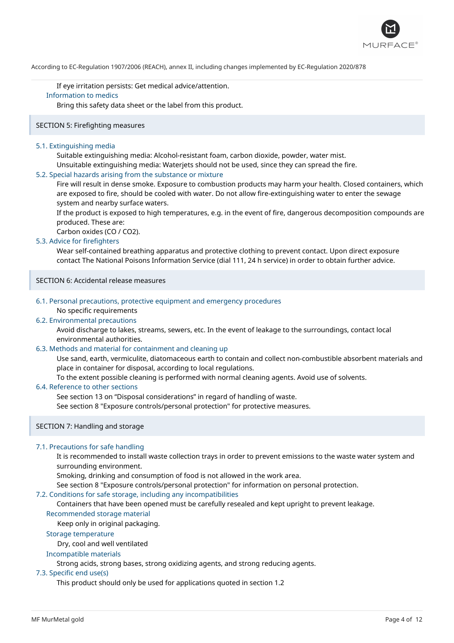

If eye irritation persists: Get medical advice/attention. Information to medics

Bring this safety data sheet or the label from this product.

### SECTION 5: Firefighting measures

### 5.1. Extinguishing media

Suitable extinguishing media: Alcohol-resistant foam, carbon dioxide, powder, water mist. Unsuitable extinguishing media: Waterjets should not be used, since they can spread the fire.

#### 5.2. Special hazards arising from the substance or mixture

Fire will result in dense smoke. Exposure to combustion products may harm your health. Closed containers, which are exposed to fire, should be cooled with water. Do not allow fire-extinguishing water to enter the sewage system and nearby surface waters.

If the product is exposed to high temperatures, e.g. in the event of fire, dangerous decomposition compounds are produced. These are:

Carbon oxides (CO / CO2).

### 5.3. Advice for firefighters

Wear self-contained breathing apparatus and protective clothing to prevent contact. Upon direct exposure contact The National Poisons Information Service (dial 111, 24 h service) in order to obtain further advice.

### SECTION 6: Accidental release measures

### 6.1. Personal precautions, protective equipment and emergency procedures

### No specific requirements

### 6.2. Environmental precautions

Avoid discharge to lakes, streams, sewers, etc. In the event of leakage to the surroundings, contact local environmental authorities.

### 6.3. Methods and material for containment and cleaning up

Use sand, earth, vermiculite, diatomaceous earth to contain and collect non-combustible absorbent materials and place in container for disposal, according to local regulations.

To the extent possible cleaning is performed with normal cleaning agents. Avoid use of solvents.

### 6.4. Reference to other sections

See section 13 on "Disposal considerations" in regard of handling of waste.

See section 8 "Exposure controls/personal protection" for protective measures.

### SECTION 7: Handling and storage

### 7.1. Precautions for safe handling

It is recommended to install waste collection trays in order to prevent emissions to the waste water system and surrounding environment.

Smoking, drinking and consumption of food is not allowed in the work area.

See section 8 "Exposure controls/personal protection" for information on personal protection.

#### 7.2. Conditions for safe storage, including any incompatibilities

Containers that have been opened must be carefully resealed and kept upright to prevent leakage.

### Recommended storage material

Keep only in original packaging.

### Storage temperature

Dry, cool and well ventilated

### Incompatible materials

Strong acids, strong bases, strong oxidizing agents, and strong reducing agents.

### 7.3. Specific end use(s)

This product should only be used for applications quoted in section 1.2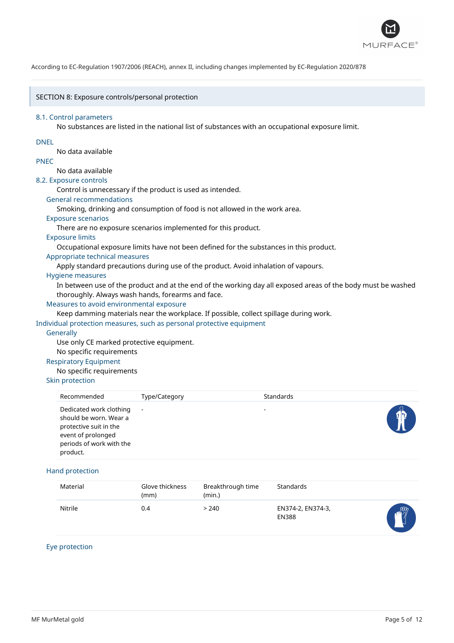

### SECTION 8: Exposure controls/personal protection

#### 8.1. Control parameters

No substances are listed in the national list of substances with an occupational exposure limit.

### DNEL

No data available

### PNEC

# No data available

8.2. Exposure controls

Control is unnecessary if the product is used as intended.

### General recommendations

Smoking, drinking and consumption of food is not allowed in the work area.

### Exposure scenarios

There are no exposure scenarios implemented for this product.

### Exposure limits

Occupational exposure limits have not been defined for the substances in this product.

### Appropriate technical measures

Apply standard precautions during use of the product. Avoid inhalation of vapours.

### Hygiene measures

In between use of the product and at the end of the working day all exposed areas of the body must be washed thoroughly. Always wash hands, forearms and face.

### Measures to avoid environmental exposure

Keep damming materials near the workplace. If possible, collect spillage during work.

Individual protection measures, such as personal protective equipment

### **Generally**

Use only CE marked protective equipment.

No specific requirements

### Respiratory Equipment

No specific requirements

### Skin protection

| Recommended                                                                                                                               | Type/Category | Standards                |  |
|-------------------------------------------------------------------------------------------------------------------------------------------|---------------|--------------------------|--|
| Dedicated work clothing<br>should be worn. Wear a<br>protective suit in the<br>event of prolonged<br>periods of work with the<br>product. | $\sim$        | $\overline{\phantom{0}}$ |  |

### Hand protection

| Material | Glove thickness<br>(mm) | Breakthrough time<br>(min.) | Standards                         |            |
|----------|-------------------------|-----------------------------|-----------------------------------|------------|
| Nitrile  | 0.4                     | > 240                       | EN374-2, EN374-3,<br><b>EN388</b> | $\sqrt{m}$ |

### Eye protection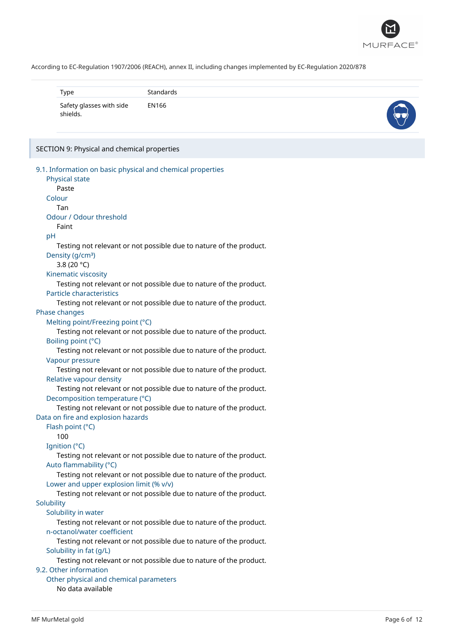

| Type                                 | Standards |  |
|--------------------------------------|-----------|--|
| Safety glasses with side<br>shields. | EN166     |  |

# SECTION 9: Physical and chemical properties

| 9.1. Information on basic physical and chemical properties         |
|--------------------------------------------------------------------|
| Physical state                                                     |
| Paste                                                              |
| Colour                                                             |
| Tan                                                                |
| Odour / Odour threshold                                            |
| Faint                                                              |
| pH                                                                 |
| Testing not relevant or not possible due to nature of the product. |
| Density (g/cm <sup>3</sup> )                                       |
| 3.8 (20 $°C$ )                                                     |
| Kinematic viscosity                                                |
| Testing not relevant or not possible due to nature of the product. |
| Particle characteristics                                           |
| Testing not relevant or not possible due to nature of the product. |
| Phase changes                                                      |
| Melting point/Freezing point (°C)                                  |
| Testing not relevant or not possible due to nature of the product. |
| Boiling point (°C)                                                 |
| Testing not relevant or not possible due to nature of the product. |
| Vapour pressure                                                    |
| Testing not relevant or not possible due to nature of the product. |
| Relative vapour density                                            |
| Testing not relevant or not possible due to nature of the product. |
| Decomposition temperature (°C)                                     |
| Testing not relevant or not possible due to nature of the product. |
| Data on fire and explosion hazards                                 |
| Flash point (°C)                                                   |
| 100                                                                |
| Ignition (°C)                                                      |
| Testing not relevant or not possible due to nature of the product. |
| Auto flammability (°C)                                             |
| Testing not relevant or not possible due to nature of the product. |
| Lower and upper explosion limit (% v/v)                            |
| Testing not relevant or not possible due to nature of the product. |
| Solubility                                                         |
| Solubility in water                                                |
| Testing not relevant or not possible due to nature of the product. |
| n-octanol/water coefficient                                        |
| Testing not relevant or not possible due to nature of the product. |
| Solubility in fat (g/L)                                            |
| Testing not relevant or not possible due to nature of the product. |
| 9.2. Other information                                             |
| Other physical and chemical parameters                             |
| No data available                                                  |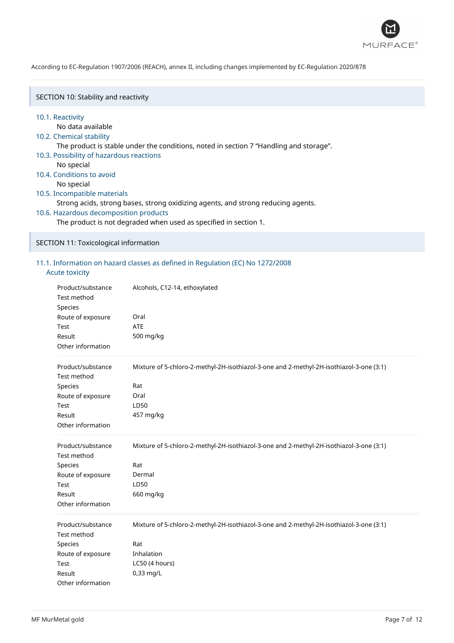

SECTION 10: Stability and reactivity

#### 10.1. Reactivity

No data available

### 10.2. Chemical stability

The product is stable under the conditions, noted in section 7 "Handling and storage".

- 10.3. Possibility of hazardous reactions
	- No special
- 10.4. Conditions to avoid

No special

### 10.5. Incompatible materials

Strong acids, strong bases, strong oxidizing agents, and strong reducing agents.

10.6. Hazardous decomposition products

The product is not degraded when used as specified in section 1.

SECTION 11: Toxicological information

### 11.1. Information on hazard classes as defined in Regulation (EC) No 1272/2008

### Acute toxicity

| Product/substance<br>Test method<br>Species<br>Route of exposure<br>Test<br>Result<br>Other information        | Alcohols, C12-14, ethoxylated<br>Oral<br><b>ATE</b><br>500 mg/kg                                                                            |
|----------------------------------------------------------------------------------------------------------------|---------------------------------------------------------------------------------------------------------------------------------------------|
| Product/substance<br><b>Test method</b><br>Species<br>Route of exposure<br>Test<br>Result<br>Other information | Mixture of 5-chloro-2-methyl-2H-isothiazol-3-one and 2-methyl-2H-isothiazol-3-one (3:1)<br>Rat<br>Oral<br>LD50<br>457 mg/kg                 |
| Product/substance<br><b>Test method</b><br>Species<br>Route of exposure<br>Test<br>Result<br>Other information | Mixture of 5-chloro-2-methyl-2H-isothiazol-3-one and 2-methyl-2H-isothiazol-3-one (3:1)<br>Rat<br>Dermal<br>LD50<br>660 mg/kg               |
| Product/substance<br>Test method<br>Species<br>Route of exposure<br>Test<br>Result<br>Other information        | Mixture of 5-chloro-2-methyl-2H-isothiazol-3-one and 2-methyl-2H-isothiazol-3-one (3:1)<br>Rat<br>Inhalation<br>LC50 (4 hours)<br>0,33 mg/L |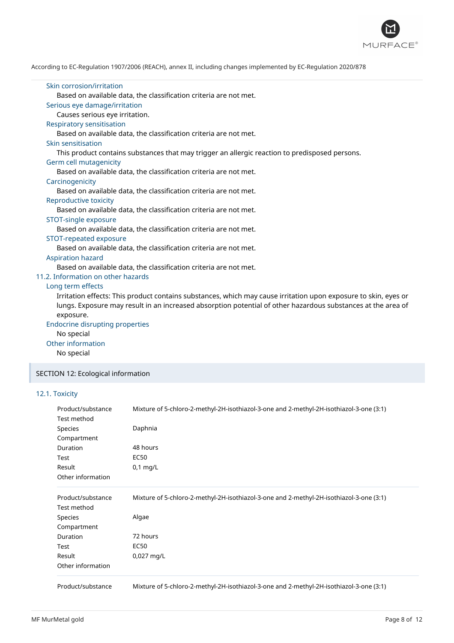

### Skin corrosion/irritation Based on available data, the classification criteria are not met. Serious eye damage/irritation Causes serious eye irritation. Respiratory sensitisation Based on available data, the classification criteria are not met. Skin sensitisation This product contains substances that may trigger an allergic reaction to predisposed persons. Germ cell mutagenicity Based on available data, the classification criteria are not met. **Carcinogenicity** Based on available data, the classification criteria are not met. Reproductive toxicity Based on available data, the classification criteria are not met. STOT-single exposure Based on available data, the classification criteria are not met. STOT-repeated exposure Based on available data, the classification criteria are not met. Aspiration hazard Based on available data, the classification criteria are not met. 11.2. Information on other hazards Long term effects Irritation effects: This product contains substances, which may cause irritation upon exposure to skin, eyes or lungs. Exposure may result in an increased absorption potential of other hazardous substances at the area of exposure. Endocrine disrupting properties No special Other information No special SECTION 12: Ecological information

### 12.1. Toxicity

| Product/substance | Mixture of 5-chloro-2-methyl-2H-isothiazol-3-one and 2-methyl-2H-isothiazol-3-one (3:1) |  |  |  |  |
|-------------------|-----------------------------------------------------------------------------------------|--|--|--|--|
| Test method       |                                                                                         |  |  |  |  |
| <b>Species</b>    | Daphnia                                                                                 |  |  |  |  |
| Compartment       |                                                                                         |  |  |  |  |
| Duration          | 48 hours                                                                                |  |  |  |  |
| Test              | EC50                                                                                    |  |  |  |  |
| Result            | $0,1$ mg/L                                                                              |  |  |  |  |
| Other information |                                                                                         |  |  |  |  |
| Product/substance | Mixture of 5-chloro-2-methyl-2H-isothiazol-3-one and 2-methyl-2H-isothiazol-3-one (3:1) |  |  |  |  |
| Test method       |                                                                                         |  |  |  |  |
| Species           | Algae                                                                                   |  |  |  |  |
| Compartment       |                                                                                         |  |  |  |  |
| <b>Duration</b>   | 72 hours                                                                                |  |  |  |  |
| Test              | <b>EC50</b>                                                                             |  |  |  |  |
| Result            | 0,027 mg/L                                                                              |  |  |  |  |
| Other information |                                                                                         |  |  |  |  |
| Product/substance | Mixture of 5-chloro-2-methyl-2H-isothiazol-3-one and 2-methyl-2H-isothiazol-3-one (3:1) |  |  |  |  |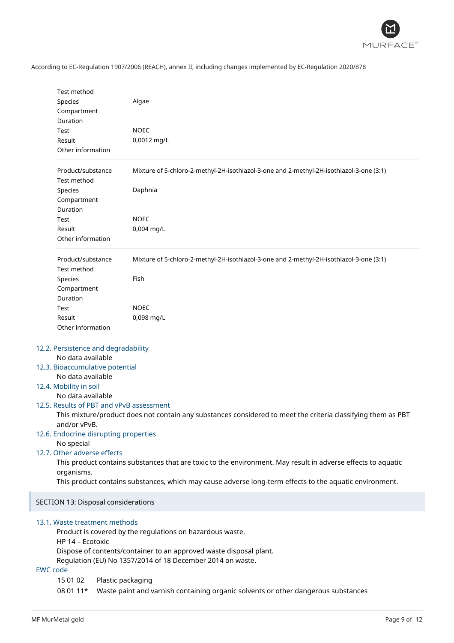

|                 | Test method                                                                                                  |                                                                                                              |  |  |  |  |
|-----------------|--------------------------------------------------------------------------------------------------------------|--------------------------------------------------------------------------------------------------------------|--|--|--|--|
|                 | Species                                                                                                      | Algae                                                                                                        |  |  |  |  |
|                 | Compartment<br>Duration                                                                                      |                                                                                                              |  |  |  |  |
|                 | Test                                                                                                         | <b>NOEC</b>                                                                                                  |  |  |  |  |
|                 | Result                                                                                                       | 0,0012 mg/L                                                                                                  |  |  |  |  |
|                 | Other information                                                                                            |                                                                                                              |  |  |  |  |
|                 |                                                                                                              |                                                                                                              |  |  |  |  |
|                 | Product/substance<br>Mixture of 5-chloro-2-methyl-2H-isothiazol-3-one and 2-methyl-2H-isothiazol-3-one (3:1) |                                                                                                              |  |  |  |  |
|                 | Test method                                                                                                  |                                                                                                              |  |  |  |  |
|                 | Species                                                                                                      | Daphnia                                                                                                      |  |  |  |  |
|                 | Compartment                                                                                                  |                                                                                                              |  |  |  |  |
|                 | Duration                                                                                                     |                                                                                                              |  |  |  |  |
|                 | Test                                                                                                         | <b>NOEC</b>                                                                                                  |  |  |  |  |
|                 | Result                                                                                                       | 0,004 mg/L                                                                                                   |  |  |  |  |
|                 | Other information                                                                                            |                                                                                                              |  |  |  |  |
|                 | Product/substance<br>Test method                                                                             | Mixture of 5-chloro-2-methyl-2H-isothiazol-3-one and 2-methyl-2H-isothiazol-3-one (3:1)                      |  |  |  |  |
|                 | Species                                                                                                      | Fish                                                                                                         |  |  |  |  |
|                 | Compartment                                                                                                  |                                                                                                              |  |  |  |  |
|                 | Duration                                                                                                     |                                                                                                              |  |  |  |  |
|                 | Test                                                                                                         | <b>NOEC</b>                                                                                                  |  |  |  |  |
|                 | Result                                                                                                       | 0,098 mg/L                                                                                                   |  |  |  |  |
|                 | Other information                                                                                            |                                                                                                              |  |  |  |  |
|                 |                                                                                                              |                                                                                                              |  |  |  |  |
|                 | 12.2. Persistence and degradability                                                                          |                                                                                                              |  |  |  |  |
|                 | No data available                                                                                            |                                                                                                              |  |  |  |  |
|                 | 12.3. Bioaccumulative potential                                                                              |                                                                                                              |  |  |  |  |
|                 | No data available                                                                                            |                                                                                                              |  |  |  |  |
|                 | 12.4. Mobility in soil                                                                                       |                                                                                                              |  |  |  |  |
|                 | No data available                                                                                            |                                                                                                              |  |  |  |  |
|                 |                                                                                                              | 12.5. Results of PBT and vPvB assessment                                                                     |  |  |  |  |
|                 | and/or vPvB.                                                                                                 | This mixture/product does not contain any substances considered to meet the criteria classifying them as PBT |  |  |  |  |
|                 |                                                                                                              | 12.6. Endocrine disrupting properties                                                                        |  |  |  |  |
|                 | No special                                                                                                   |                                                                                                              |  |  |  |  |
|                 | 12.7. Other adverse effects                                                                                  |                                                                                                              |  |  |  |  |
|                 |                                                                                                              | This product contains substances that are toxic to the environment. May result in adverse effects to aquatic |  |  |  |  |
|                 | organisms.                                                                                                   |                                                                                                              |  |  |  |  |
|                 |                                                                                                              | This product contains substances, which may cause adverse long-term effects to the aquatic environment.      |  |  |  |  |
|                 | SECTION 13: Disposal considerations                                                                          |                                                                                                              |  |  |  |  |
|                 |                                                                                                              |                                                                                                              |  |  |  |  |
|                 | 13.1. Waste treatment methods<br>Product is covered by the regulations on hazardous waste.                   |                                                                                                              |  |  |  |  |
|                 | HP 14 - Ecotoxic                                                                                             |                                                                                                              |  |  |  |  |
|                 |                                                                                                              | Dispose of contents/container to an approved waste disposal plant.                                           |  |  |  |  |
|                 |                                                                                                              | Regulation (EU) No 1357/2014 of 18 December 2014 on waste.                                                   |  |  |  |  |
| <b>EWC</b> code |                                                                                                              |                                                                                                              |  |  |  |  |
|                 | 15 01 02                                                                                                     | Plastic packaging                                                                                            |  |  |  |  |
|                 | 08 01 11*                                                                                                    | Waste paint and varnish containing organic solvents or other dangerous substances                            |  |  |  |  |
|                 |                                                                                                              |                                                                                                              |  |  |  |  |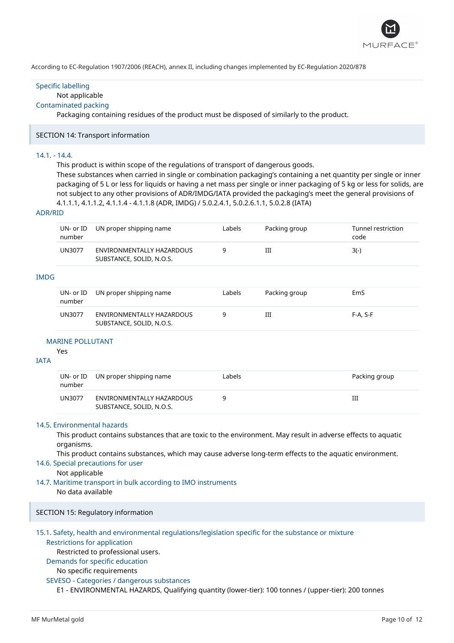

### Specific labelling

### Not applicable

### Contaminated packing

Packaging containing residues of the product must be disposed of similarly to the product.

### SECTION 14: Transport information

### 14.1. - 14.4.

This product is within scope of the regulations of transport of dangerous goods.

These substances when carried in single or combination packaging's containing a net quantity per single or inner packaging of 5 L or less for liquids or having a net mass per single or inner packaging of 5 kg or less for solids, are not subject to any other provisions of ADR/IMDG/IATA provided the packaging's meet the general provisions of 4.1.1.1, 4.1.1.2, 4.1.1.4 - 4.1.1.8 (ADR, IMDG) / 5.0.2.4.1, 5.0.2.6.1.1, 5.0.2.8 (IATA)

#### ADR/RID

| UN- or ID<br>number | UN proper shipping name                               | Labels | Packing group | Tunnel restriction<br>code |
|---------------------|-------------------------------------------------------|--------|---------------|----------------------------|
| <b>UN3077</b>       | ENVIRONMENTALLY HAZARDOUS<br>SUBSTANCE, SOLID, N.O.S. |        | Ш             | $3(-)$                     |
|                     |                                                       |        |               |                            |

### IMDG

| number | UN- or ID UN proper shipping name                     | Labels | Packing group | EmS        |
|--------|-------------------------------------------------------|--------|---------------|------------|
| UN3077 | ENVIRONMENTALLY HAZARDOUS<br>SUBSTANCE, SOLID, N.O.S. |        | Ш             | $F-A. S-F$ |

#### MARINE POLLUTANT

Yes

### IATA

| number        | UN- or ID UN proper shipping name                     | Labels | Packing group |
|---------------|-------------------------------------------------------|--------|---------------|
| <b>UN3077</b> | ENVIRONMENTALLY HAZARDOUS<br>SUBSTANCE, SOLID, N.O.S. |        | Ш             |

### 14.5. Environmental hazards

This product contains substances that are toxic to the environment. May result in adverse effects to aquatic organisms.

This product contains substances, which may cause adverse long-term effects to the aquatic environment.

### 14.6. Special precautions for user

Not applicable

14.7. Maritime transport in bulk according to IMO instruments

No data available

### SECTION 15: Regulatory information

# 15.1. Safety, health and environmental regulations/legislation specific for the substance or mixture

# Restrictions for application

Restricted to professional users.

# Demands for specific education

### No specific requirements

### SEVESO - Categories / dangerous substances

E1 - ENVIRONMENTAL HAZARDS, Qualifying quantity (lower-tier): 100 tonnes / (upper-tier): 200 tonnes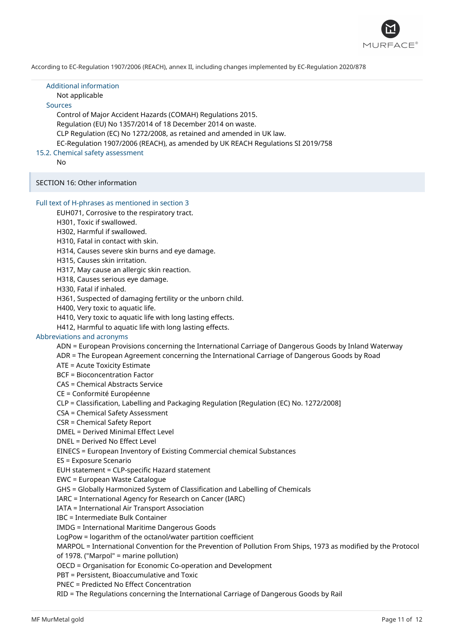

Additional information Not applicable Sources Control of Major Accident Hazards (COMAH) Regulations 2015. Regulation (EU) No 1357/2014 of 18 December 2014 on waste. CLP Regulation (EC) No 1272/2008, as retained and amended in UK law. EC-Regulation 1907/2006 (REACH), as amended by UK REACH Regulations SI 2019/758 15.2. Chemical safety assessment

No

SECTION 16: Other information

#### Full text of H-phrases as mentioned in section 3

EUH071, Corrosive to the respiratory tract.

H301, Toxic if swallowed.

H302, Harmful if swallowed.

H310, Fatal in contact with skin.

H314, Causes severe skin burns and eye damage.

H315, Causes skin irritation.

H317, May cause an allergic skin reaction.

H318, Causes serious eye damage.

H330, Fatal if inhaled.

H361, Suspected of damaging fertility or the unborn child.

H400, Very toxic to aquatic life.

H410, Very toxic to aquatic life with long lasting effects.

H412, Harmful to aquatic life with long lasting effects.

### Abbreviations and acronyms

ADN = European Provisions concerning the International Carriage of Dangerous Goods by Inland Waterway

ADR = The European Agreement concerning the International Carriage of Dangerous Goods by Road

ATE = Acute Toxicity Estimate

BCF = Bioconcentration Factor

CAS = Chemical Abstracts Service

CE = Conformité Européenne

CLP = Classification, Labelling and Packaging Regulation [Regulation (EC) No. 1272/2008]

CSA = Chemical Safety Assessment

CSR = Chemical Safety Report

DMEL = Derived Minimal Effect Level

DNEL = Derived No Effect Level

EINECS = European Inventory of Existing Commercial chemical Substances

ES = Exposure Scenario

EUH statement = CLP-specific Hazard statement

EWC = European Waste Catalogue

GHS = Globally Harmonized System of Classification and Labelling of Chemicals

IARC = International Agency for Research on Cancer (IARC)

IATA = International Air Transport Association

IBC = Intermediate Bulk Container

IMDG = International Maritime Dangerous Goods

LogPow = logarithm of the octanol/water partition coefficient

MARPOL = International Convention for the Prevention of Pollution From Ships, 1973 as modified by the Protocol

of 1978. ("Marpol" = marine pollution)

OECD = Organisation for Economic Co-operation and Development

PBT = Persistent, Bioaccumulative and Toxic

PNEC = Predicted No Effect Concentration

RID = The Regulations concerning the International Carriage of Dangerous Goods by Rail